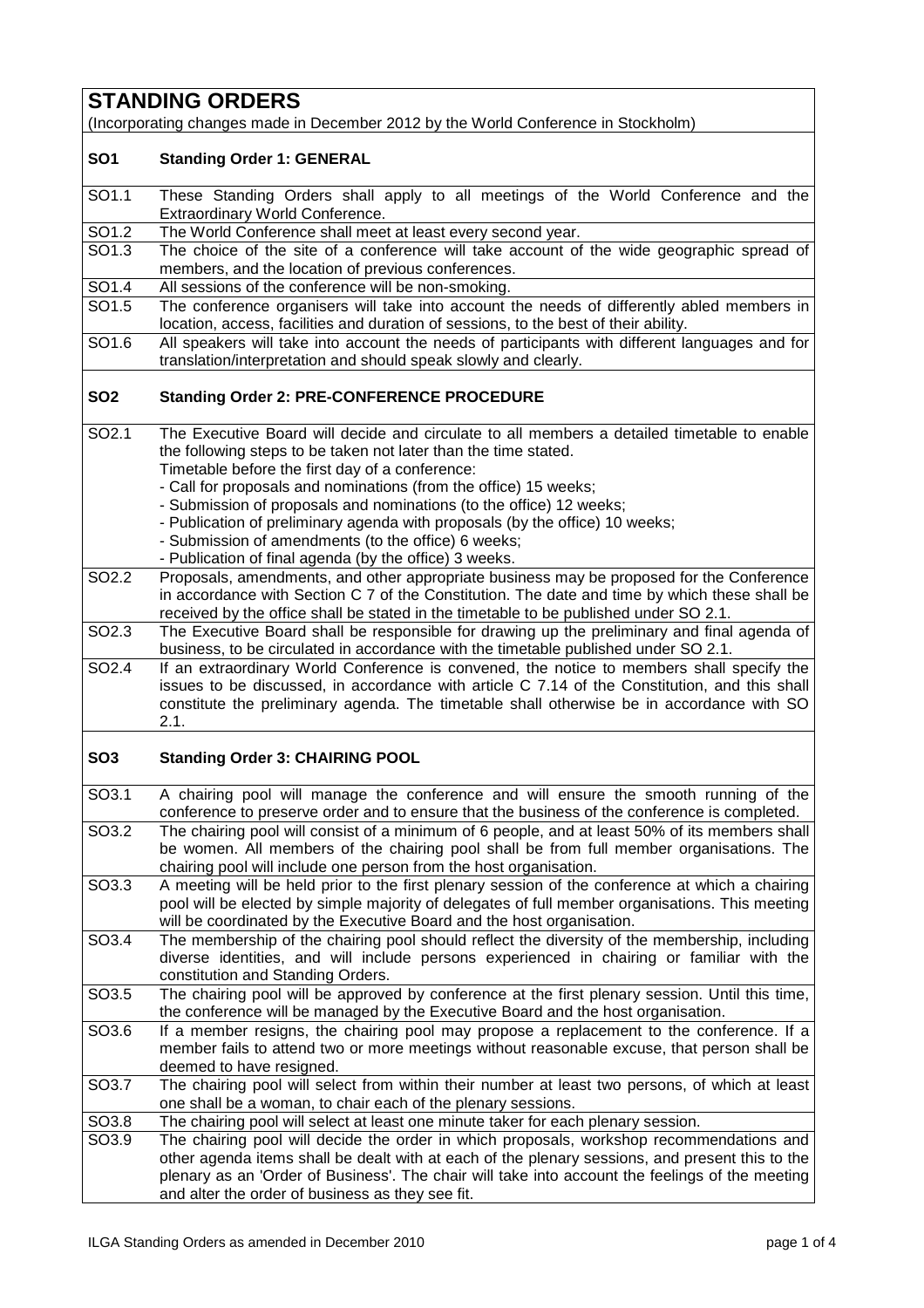## **STANDING ORDERS**

(Incorporating changes made in December 2012 by the World Conference in Stockholm)

## **SO1 Standing Order 1: GENERAL**

- SO1.1 These Standing Orders shall apply to all meetings of the World Conference and the Extraordinary World Conference.
- SO1.2 The World Conference shall meet at least every second year.

SO1.3 The choice of the site of a conference will take account of the wide geographic spread of members, and the location of previous conferences.

- SO1.4 All sessions of the conference will be non-smoking.
- SO1.5 The conference organisers will take into account the needs of differently abled members in location, access, facilities and duration of sessions, to the best of their ability.
- SO1.6 All speakers will take into account the needs of participants with different languages and for translation/interpretation and should speak slowly and clearly.

## **SO2 Standing Order 2: PRE-CONFERENCE PROCEDURE**

- SO2.1 The Executive Board will decide and circulate to all members a detailed timetable to enable the following steps to be taken not later than the time stated. Timetable before the first day of a conference:
	- Call for proposals and nominations (from the office) 15 weeks;
	- Submission of proposals and nominations (to the office) 12 weeks;
	- Publication of preliminary agenda with proposals (by the office) 10 weeks;
	- Submission of amendments (to the office) 6 weeks;
	- Publication of final agenda (by the office) 3 weeks.
- SO2.2 Proposals, amendments, and other appropriate business may be proposed for the Conference in accordance with Section C 7 of the Constitution. The date and time by which these shall be received by the office shall be stated in the timetable to be published under SO 2.1.
- SO2.3 The Executive Board shall be responsible for drawing up the preliminary and final agenda of business, to be circulated in accordance with the timetable published under SO 2.1.
- SO2.4 If an extraordinary World Conference is convened, the notice to members shall specify the issues to be discussed, in accordance with article C 7.14 of the Constitution, and this shall constitute the preliminary agenda. The timetable shall otherwise be in accordance with SO 2.1.

## **SO3 Standing Order 3: CHAIRING POOL**

SO3.1 A chairing pool will manage the conference and will ensure the smooth running of the conference to preserve order and to ensure that the business of the conference is completed. SO3.2 The chairing pool will consist of a minimum of 6 people, and at least 50% of its members shall be women. All members of the chairing pool shall be from full member organisations. The chairing pool will include one person from the host organisation. SO3.3 A meeting will be held prior to the first plenary session of the conference at which a chairing pool will be elected by simple majority of delegates of full member organisations. This meeting will be coordinated by the Executive Board and the host organisation. SO3.4 The membership of the chairing pool should reflect the diversity of the membership, including diverse identities, and will include persons experienced in chairing or familiar with the constitution and Standing Orders. SO3.5 The chairing pool will be approved by conference at the first plenary session. Until this time, the conference will be managed by the Executive Board and the host organisation.

- SO3.6 If a member resigns, the chairing pool may propose a replacement to the conference. If a member fails to attend two or more meetings without reasonable excuse, that person shall be deemed to have resigned. SO3.7 The chairing pool will select from within their number at least two persons, of which at least
- one shall be a woman, to chair each of the plenary sessions.

SO3.8 The chairing pool will select at least one minute taker for each plenary session.

SO3.9 The chairing pool will decide the order in which proposals, workshop recommendations and other agenda items shall be dealt with at each of the plenary sessions, and present this to the plenary as an 'Order of Business'. The chair will take into account the feelings of the meeting and alter the order of business as they see fit.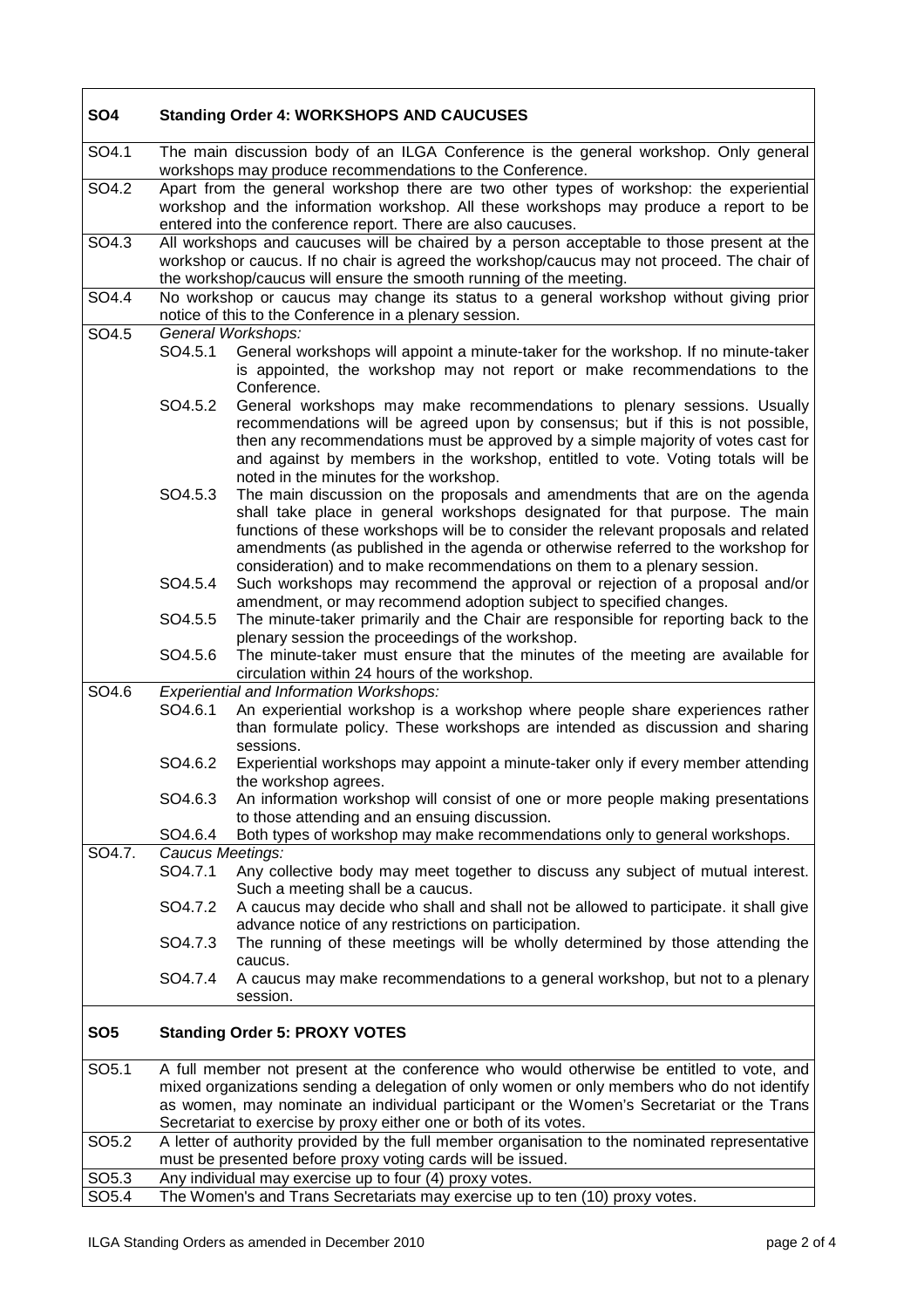| SO <sub>4</sub>   | <b>Standing Order 4: WORKSHOPS AND CAUCUSES</b>                                                                                                                                                                                                                                                                                                         |                                                                                                                                                                                                                                                                                                                                                                                                                  |
|-------------------|---------------------------------------------------------------------------------------------------------------------------------------------------------------------------------------------------------------------------------------------------------------------------------------------------------------------------------------------------------|------------------------------------------------------------------------------------------------------------------------------------------------------------------------------------------------------------------------------------------------------------------------------------------------------------------------------------------------------------------------------------------------------------------|
| SO4.1             | The main discussion body of an ILGA Conference is the general workshop. Only general<br>workshops may produce recommendations to the Conference.                                                                                                                                                                                                        |                                                                                                                                                                                                                                                                                                                                                                                                                  |
| SO4.2             | Apart from the general workshop there are two other types of workshop: the experiential<br>workshop and the information workshop. All these workshops may produce a report to be<br>entered into the conference report. There are also caucuses.                                                                                                        |                                                                                                                                                                                                                                                                                                                                                                                                                  |
| SO4.3             | All workshops and caucuses will be chaired by a person acceptable to those present at the<br>workshop or caucus. If no chair is agreed the workshop/caucus may not proceed. The chair of<br>the workshop/caucus will ensure the smooth running of the meeting.                                                                                          |                                                                                                                                                                                                                                                                                                                                                                                                                  |
| SO4.4             | No workshop or caucus may change its status to a general workshop without giving prior<br>notice of this to the Conference in a plenary session.                                                                                                                                                                                                        |                                                                                                                                                                                                                                                                                                                                                                                                                  |
| SO4.5             |                                                                                                                                                                                                                                                                                                                                                         | General Workshops:                                                                                                                                                                                                                                                                                                                                                                                               |
|                   | SO4.5.1                                                                                                                                                                                                                                                                                                                                                 | General workshops will appoint a minute-taker for the workshop. If no minute-taker<br>is appointed, the workshop may not report or make recommendations to the<br>Conference.                                                                                                                                                                                                                                    |
|                   | SO4.5.2                                                                                                                                                                                                                                                                                                                                                 | General workshops may make recommendations to plenary sessions. Usually<br>recommendations will be agreed upon by consensus; but if this is not possible,<br>then any recommendations must be approved by a simple majority of votes cast for<br>and against by members in the workshop, entitled to vote. Voting totals will be<br>noted in the minutes for the workshop.                                       |
|                   | SO4.5.3                                                                                                                                                                                                                                                                                                                                                 | The main discussion on the proposals and amendments that are on the agenda<br>shall take place in general workshops designated for that purpose. The main<br>functions of these workshops will be to consider the relevant proposals and related<br>amendments (as published in the agenda or otherwise referred to the workshop for<br>consideration) and to make recommendations on them to a plenary session. |
|                   | SO4.5.4                                                                                                                                                                                                                                                                                                                                                 | Such workshops may recommend the approval or rejection of a proposal and/or<br>amendment, or may recommend adoption subject to specified changes.                                                                                                                                                                                                                                                                |
|                   | SO4.5.5                                                                                                                                                                                                                                                                                                                                                 | The minute-taker primarily and the Chair are responsible for reporting back to the<br>plenary session the proceedings of the workshop.                                                                                                                                                                                                                                                                           |
|                   | SO4.5.6                                                                                                                                                                                                                                                                                                                                                 | The minute-taker must ensure that the minutes of the meeting are available for<br>circulation within 24 hours of the workshop.                                                                                                                                                                                                                                                                                   |
| SO4.6             |                                                                                                                                                                                                                                                                                                                                                         | <b>Experiential and Information Workshops:</b>                                                                                                                                                                                                                                                                                                                                                                   |
|                   | SO4.6.1                                                                                                                                                                                                                                                                                                                                                 | An experiential workshop is a workshop where people share experiences rather<br>than formulate policy. These workshops are intended as discussion and sharing<br>sessions.                                                                                                                                                                                                                                       |
|                   | SO4.6.2                                                                                                                                                                                                                                                                                                                                                 | Experiential workshops may appoint a minute-taker only if every member attending<br>the workshop agrees.                                                                                                                                                                                                                                                                                                         |
|                   | SO4.6.3                                                                                                                                                                                                                                                                                                                                                 | An information workshop will consist of one or more people making presentations<br>to those attending and an ensuing discussion.                                                                                                                                                                                                                                                                                 |
|                   | SO4.6.4                                                                                                                                                                                                                                                                                                                                                 | Both types of workshop may make recommendations only to general workshops.                                                                                                                                                                                                                                                                                                                                       |
| SO4.7.            | Caucus Meetings:<br>SO4.7.1                                                                                                                                                                                                                                                                                                                             | Any collective body may meet together to discuss any subject of mutual interest.<br>Such a meeting shall be a caucus.                                                                                                                                                                                                                                                                                            |
|                   | SO4.7.2                                                                                                                                                                                                                                                                                                                                                 | A caucus may decide who shall and shall not be allowed to participate. it shall give<br>advance notice of any restrictions on participation.                                                                                                                                                                                                                                                                     |
|                   | SO4.7.3                                                                                                                                                                                                                                                                                                                                                 | The running of these meetings will be wholly determined by those attending the<br>caucus.                                                                                                                                                                                                                                                                                                                        |
|                   | SO4.7.4                                                                                                                                                                                                                                                                                                                                                 | A caucus may make recommendations to a general workshop, but not to a plenary<br>session.                                                                                                                                                                                                                                                                                                                        |
| SO <sub>5</sub>   | <b>Standing Order 5: PROXY VOTES</b>                                                                                                                                                                                                                                                                                                                    |                                                                                                                                                                                                                                                                                                                                                                                                                  |
| SO <sub>5.1</sub> | A full member not present at the conference who would otherwise be entitled to vote, and<br>mixed organizations sending a delegation of only women or only members who do not identify<br>as women, may nominate an individual participant or the Women's Secretariat or the Trans<br>Secretariat to exercise by proxy either one or both of its votes. |                                                                                                                                                                                                                                                                                                                                                                                                                  |
| SO <sub>5.2</sub> | A letter of authority provided by the full member organisation to the nominated representative<br>must be presented before proxy voting cards will be issued.                                                                                                                                                                                           |                                                                                                                                                                                                                                                                                                                                                                                                                  |
| SO <sub>5.3</sub> |                                                                                                                                                                                                                                                                                                                                                         | Any individual may exercise up to four (4) proxy votes.                                                                                                                                                                                                                                                                                                                                                          |
| SO <sub>5.4</sub> |                                                                                                                                                                                                                                                                                                                                                         | The Women's and Trans Secretariats may exercise up to ten (10) proxy votes.                                                                                                                                                                                                                                                                                                                                      |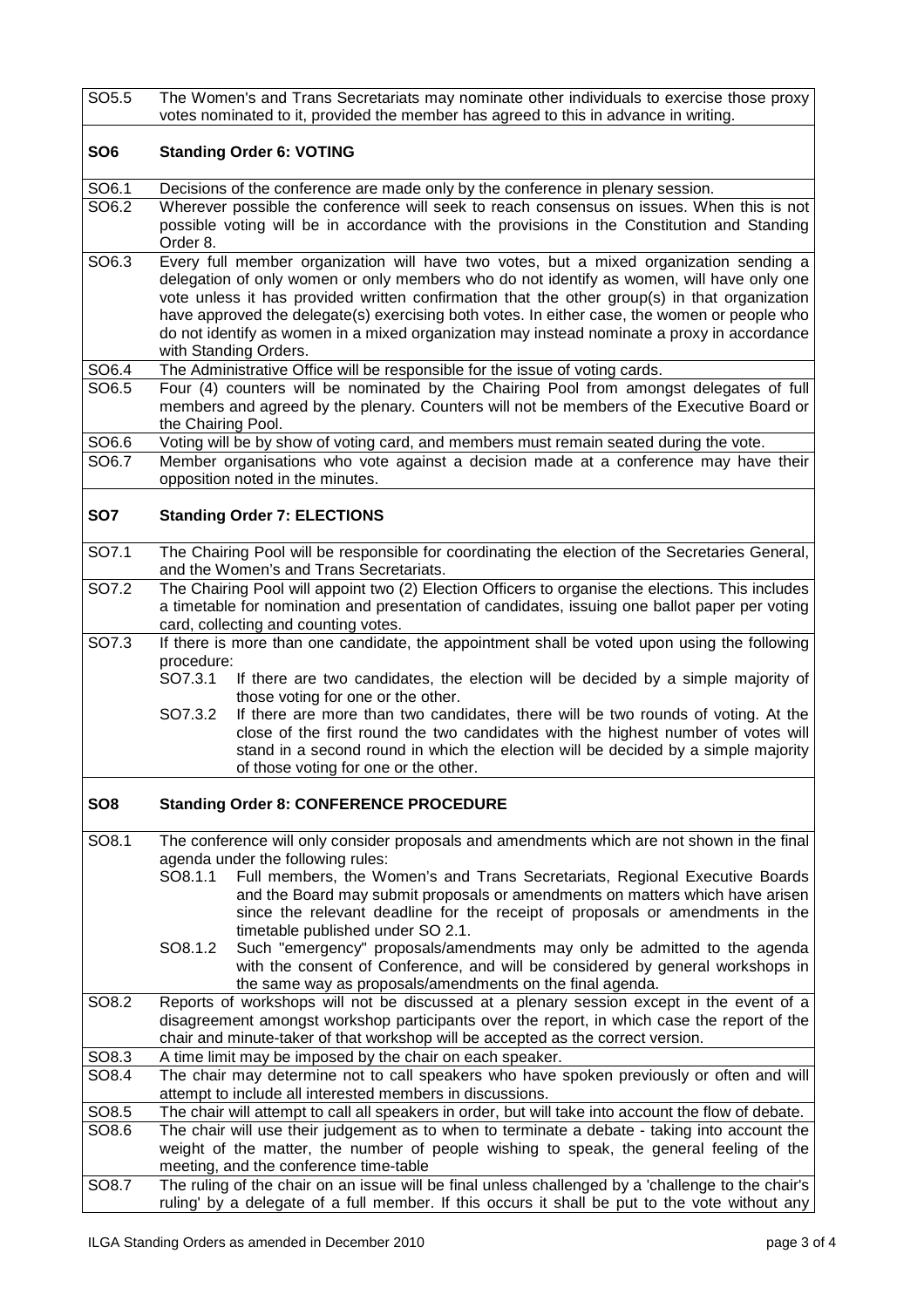| SO <sub>5.5</sub> | The Women's and Trans Secretariats may nominate other individuals to exercise those proxy<br>votes nominated to it, provided the member has agreed to this in advance in writing.                                                                                                                                                                                                                                                                                                                                                                                                                                                                                       |  |  |
|-------------------|-------------------------------------------------------------------------------------------------------------------------------------------------------------------------------------------------------------------------------------------------------------------------------------------------------------------------------------------------------------------------------------------------------------------------------------------------------------------------------------------------------------------------------------------------------------------------------------------------------------------------------------------------------------------------|--|--|
| SO <sub>6</sub>   | <b>Standing Order 6: VOTING</b>                                                                                                                                                                                                                                                                                                                                                                                                                                                                                                                                                                                                                                         |  |  |
| SO6.1             | Decisions of the conference are made only by the conference in plenary session.                                                                                                                                                                                                                                                                                                                                                                                                                                                                                                                                                                                         |  |  |
| SO6.2             | Wherever possible the conference will seek to reach consensus on issues. When this is not<br>possible voting will be in accordance with the provisions in the Constitution and Standing<br>Order 8.                                                                                                                                                                                                                                                                                                                                                                                                                                                                     |  |  |
| SO6.3             | Every full member organization will have two votes, but a mixed organization sending a<br>delegation of only women or only members who do not identify as women, will have only one<br>vote unless it has provided written confirmation that the other group(s) in that organization<br>have approved the delegate(s) exercising both votes. In either case, the women or people who<br>do not identify as women in a mixed organization may instead nominate a proxy in accordance<br>with Standing Orders.                                                                                                                                                            |  |  |
| SO6.4             | The Administrative Office will be responsible for the issue of voting cards.                                                                                                                                                                                                                                                                                                                                                                                                                                                                                                                                                                                            |  |  |
| SO6.5             | Four (4) counters will be nominated by the Chairing Pool from amongst delegates of full<br>members and agreed by the plenary. Counters will not be members of the Executive Board or<br>the Chairing Pool.                                                                                                                                                                                                                                                                                                                                                                                                                                                              |  |  |
| SO6.6             | Voting will be by show of voting card, and members must remain seated during the vote.                                                                                                                                                                                                                                                                                                                                                                                                                                                                                                                                                                                  |  |  |
| SO6.7             | Member organisations who vote against a decision made at a conference may have their<br>opposition noted in the minutes.                                                                                                                                                                                                                                                                                                                                                                                                                                                                                                                                                |  |  |
| SO <sub>7</sub>   | <b>Standing Order 7: ELECTIONS</b>                                                                                                                                                                                                                                                                                                                                                                                                                                                                                                                                                                                                                                      |  |  |
| SO7.1             | The Chairing Pool will be responsible for coordinating the election of the Secretaries General,<br>and the Women's and Trans Secretariats.                                                                                                                                                                                                                                                                                                                                                                                                                                                                                                                              |  |  |
| SO7.2             | The Chairing Pool will appoint two (2) Election Officers to organise the elections. This includes<br>a timetable for nomination and presentation of candidates, issuing one ballot paper per voting<br>card, collecting and counting votes.                                                                                                                                                                                                                                                                                                                                                                                                                             |  |  |
| SO7.3             | If there is more than one candidate, the appointment shall be voted upon using the following<br>procedure:<br>SO7.3.1<br>If there are two candidates, the election will be decided by a simple majority of<br>those voting for one or the other.<br>SO7.3.2<br>If there are more than two candidates, there will be two rounds of voting. At the<br>close of the first round the two candidates with the highest number of votes will<br>stand in a second round in which the election will be decided by a simple majority<br>of those voting for one or the other.                                                                                                    |  |  |
| SO <sub>8</sub>   | <b>Standing Order 8: CONFERENCE PROCEDURE</b>                                                                                                                                                                                                                                                                                                                                                                                                                                                                                                                                                                                                                           |  |  |
| SO8.1             | The conference will only consider proposals and amendments which are not shown in the final<br>agenda under the following rules:<br>SO8.1.1<br>Full members, the Women's and Trans Secretariats, Regional Executive Boards<br>and the Board may submit proposals or amendments on matters which have arisen<br>since the relevant deadline for the receipt of proposals or amendments in the<br>timetable published under SO 2.1.<br>SO8.1.2<br>Such "emergency" proposals/amendments may only be admitted to the agenda<br>with the consent of Conference, and will be considered by general workshops in<br>the same way as proposals/amendments on the final agenda. |  |  |
| SO8.2             | Reports of workshops will not be discussed at a plenary session except in the event of a<br>disagreement amongst workshop participants over the report, in which case the report of the<br>chair and minute-taker of that workshop will be accepted as the correct version.                                                                                                                                                                                                                                                                                                                                                                                             |  |  |
| SO8.3             | A time limit may be imposed by the chair on each speaker.                                                                                                                                                                                                                                                                                                                                                                                                                                                                                                                                                                                                               |  |  |
| SO8.4             | The chair may determine not to call speakers who have spoken previously or often and will<br>attempt to include all interested members in discussions.                                                                                                                                                                                                                                                                                                                                                                                                                                                                                                                  |  |  |
| SO8.5             | The chair will attempt to call all speakers in order, but will take into account the flow of debate.                                                                                                                                                                                                                                                                                                                                                                                                                                                                                                                                                                    |  |  |
| SO8.6             | The chair will use their judgement as to when to terminate a debate - taking into account the<br>weight of the matter, the number of people wishing to speak, the general feeling of the<br>meeting, and the conference time-table                                                                                                                                                                                                                                                                                                                                                                                                                                      |  |  |
| SO8.7             | The ruling of the chair on an issue will be final unless challenged by a 'challenge to the chair's<br>ruling' by a delegate of a full member. If this occurs it shall be put to the vote without any                                                                                                                                                                                                                                                                                                                                                                                                                                                                    |  |  |